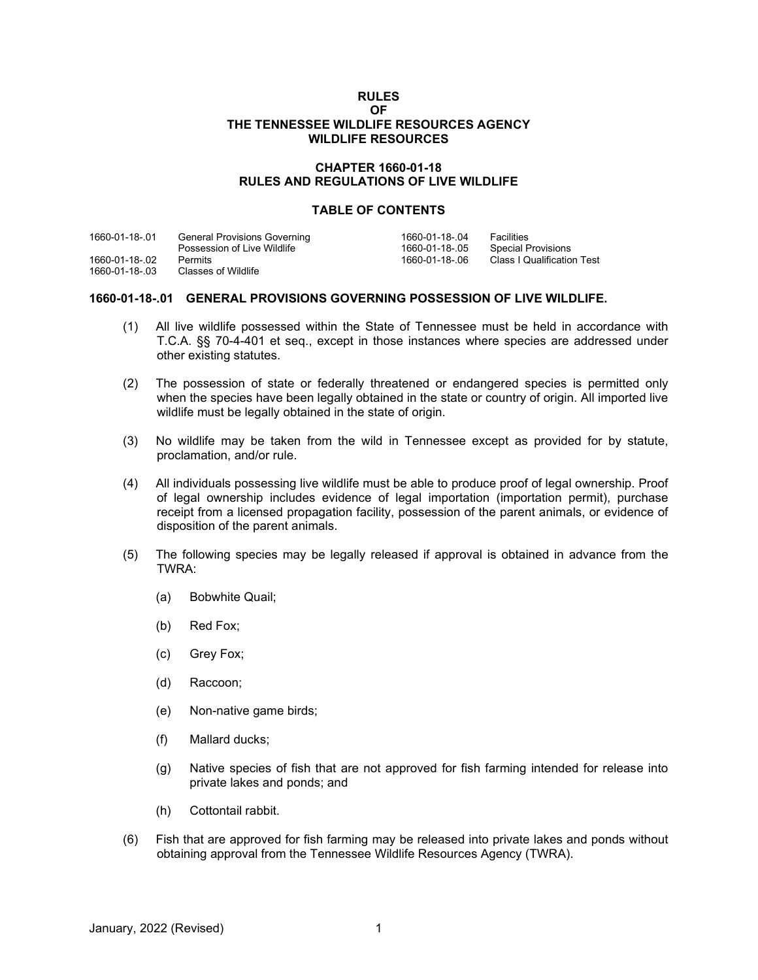### **RULES OF THE TENNESSEE WILDLIFE RESOURCES AGENCY WILDLIFE RESOURCES**

# **CHAPTER 1660-01-18 RULES AND REGULATIONS OF LIVE WILDLIFE**

# **TABLE OF CONTENTS**

| 1660-01-18-01  | General Provisions Governing | 1660-01-18-.04 | Facilities                 |
|----------------|------------------------------|----------------|----------------------------|
|                | Possession of Live Wildlife  | 1660-01-18-.05 | Special Provisions         |
| 1660-01-18-.02 | Permits                      | 1660-01-18-.06 | Class I Qualification Test |
| 1660-01-18-.03 | Classes of Wildlife          |                |                            |

### **1660-01-18-.01 GENERAL PROVISIONS GOVERNING POSSESSION OF LIVE WILDLIFE.**

- (1) All live wildlife possessed within the State of Tennessee must be held in accordance with T.C.A. §§ 70-4-401 et seq., except in those instances where species are addressed under other existing statutes.
- (2) The possession of state or federally threatened or endangered species is permitted only when the species have been legally obtained in the state or country of origin. All imported live wildlife must be legally obtained in the state of origin.
- (3) No wildlife may be taken from the wild in Tennessee except as provided for by statute, proclamation, and/or rule.
- (4) All individuals possessing live wildlife must be able to produce proof of legal ownership. Proof of legal ownership includes evidence of legal importation (importation permit), purchase receipt from a licensed propagation facility, possession of the parent animals, or evidence of disposition of the parent animals.
- (5) The following species may be legally released if approval is obtained in advance from the TWRA:
	- (a) Bobwhite Quail;
	- (b) Red Fox;
	- (c) Grey Fox;
	- (d) Raccoon;
	- (e) Non-native game birds;
	- (f) Mallard ducks;
	- (g) Native species of fish that are not approved for fish farming intended for release into private lakes and ponds; and
	- (h) Cottontail rabbit.
- (6) Fish that are approved for fish farming may be released into private lakes and ponds without obtaining approval from the Tennessee Wildlife Resources Agency (TWRA).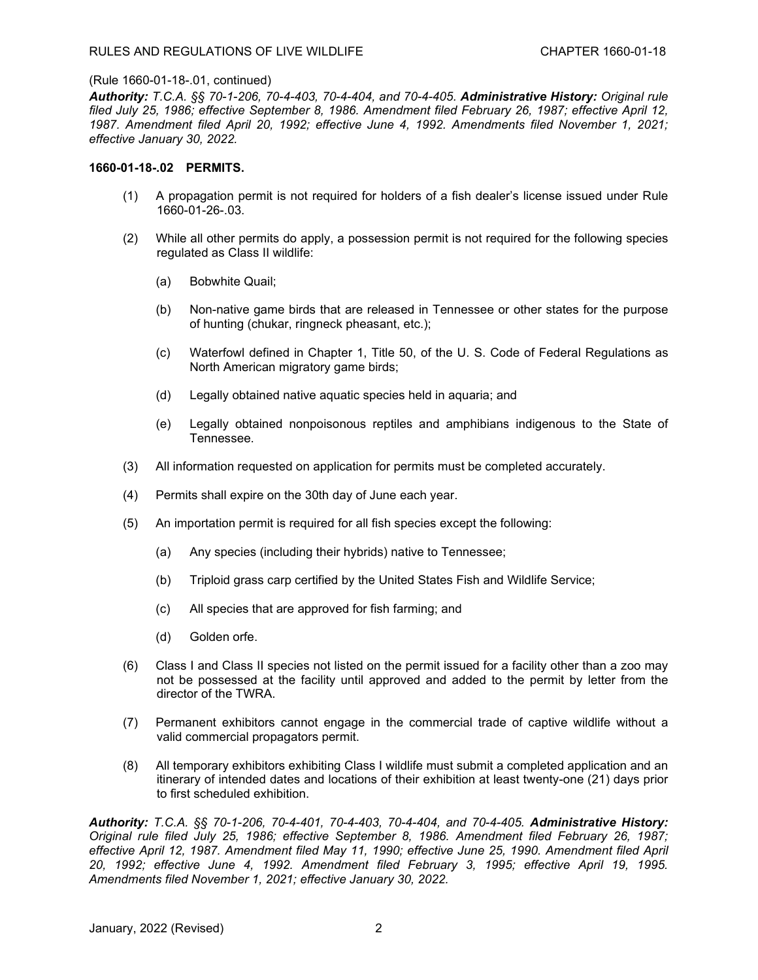*Authority: T.C.A. §§ 70-1-206, 70-4-403, 70-4-404, and 70-4-405. Administrative History: Original rule filed July 25, 1986; effective September 8, 1986. Amendment filed February 26, 1987; effective April 12, 1987. Amendment filed April 20, 1992; effective June 4, 1992. Amendments filed November 1, 2021; effective January 30, 2022.*

### **1660-01-18-.02 PERMITS.**

- (1) A propagation permit is not required for holders of a fish dealer's license issued under Rule 1660-01-26-.03.
- (2) While all other permits do apply, a possession permit is not required for the following species regulated as Class II wildlife:
	- (a) Bobwhite Quail;
	- (b) Non-native game birds that are released in Tennessee or other states for the purpose of hunting (chukar, ringneck pheasant, etc.);
	- (c) Waterfowl defined in Chapter 1, Title 50, of the U. S. Code of Federal Regulations as North American migratory game birds;
	- (d) Legally obtained native aquatic species held in aquaria; and
	- (e) Legally obtained nonpoisonous reptiles and amphibians indigenous to the State of Tennessee.
- (3) All information requested on application for permits must be completed accurately.
- (4) Permits shall expire on the 30th day of June each year.
- (5) An importation permit is required for all fish species except the following:
	- (a) Any species (including their hybrids) native to Tennessee;
	- (b) Triploid grass carp certified by the United States Fish and Wildlife Service;
	- (c) All species that are approved for fish farming; and
	- (d) Golden orfe.
- (6) Class I and Class II species not listed on the permit issued for a facility other than a zoo may not be possessed at the facility until approved and added to the permit by letter from the director of the TWRA.
- (7) Permanent exhibitors cannot engage in the commercial trade of captive wildlife without a valid commercial propagators permit.
- (8) All temporary exhibitors exhibiting Class I wildlife must submit a completed application and an itinerary of intended dates and locations of their exhibition at least twenty-one (21) days prior to first scheduled exhibition.

*Authority: T.C.A. §§ 70-1-206, 70-4-401, 70-4-403, 70-4-404, and 70-4-405. Administrative History: Original rule filed July 25, 1986; effective September 8, 1986. Amendment filed February 26, 1987; effective April 12, 1987. Amendment filed May 11, 1990; effective June 25, 1990. Amendment filed April 20, 1992; effective June 4, 1992. Amendment filed February 3, 1995; effective April 19, 1995. Amendments filed November 1, 2021; effective January 30, 2022.*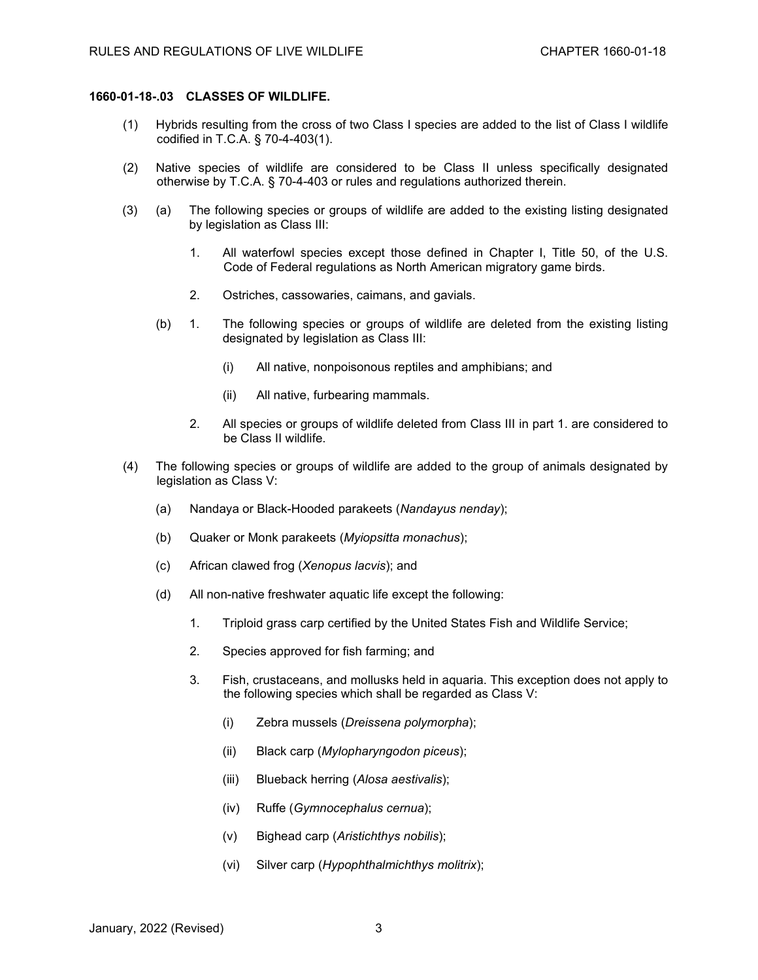### **1660-01-18-.03 CLASSES OF WILDLIFE.**

- (1) Hybrids resulting from the cross of two Class I species are added to the list of Class I wildlife codified in T.C.A. § 70-4-403(1).
- (2) Native species of wildlife are considered to be Class II unless specifically designated otherwise by T.C.A. § 70-4-403 or rules and regulations authorized therein.
- (3) (a) The following species or groups of wildlife are added to the existing listing designated by legislation as Class III:
	- 1. All waterfowl species except those defined in Chapter I, Title 50, of the U.S. Code of Federal regulations as North American migratory game birds.
	- 2. Ostriches, cassowaries, caimans, and gavials.
	- (b) 1. The following species or groups of wildlife are deleted from the existing listing designated by legislation as Class III:
		- (i) All native, nonpoisonous reptiles and amphibians; and
		- (ii) All native, furbearing mammals.
		- 2. All species or groups of wildlife deleted from Class III in part 1. are considered to be Class II wildlife.
- (4) The following species or groups of wildlife are added to the group of animals designated by legislation as Class V:
	- (a) Nandaya or Black-Hooded parakeets (*Nandayus nenday*);
	- (b) Quaker or Monk parakeets (*Myiopsitta monachus*);
	- (c) African clawed frog (*Xenopus lacvis*); and
	- (d) All non-native freshwater aquatic life except the following:
		- 1. Triploid grass carp certified by the United States Fish and Wildlife Service;
		- 2. Species approved for fish farming; and
		- 3. Fish, crustaceans, and mollusks held in aquaria. This exception does not apply to the following species which shall be regarded as Class V:
			- (i) Zebra mussels (*Dreissena polymorpha*);
			- (ii) Black carp (*Mylopharyngodon piceus*);
			- (iii) Blueback herring (*Alosa aestivalis*);
			- (iv) Ruffe (*Gymnocephalus cernua*);
			- (v) Bighead carp (*Aristichthys nobilis*);
			- (vi) Silver carp (*Hypophthalmichthys molitrix*);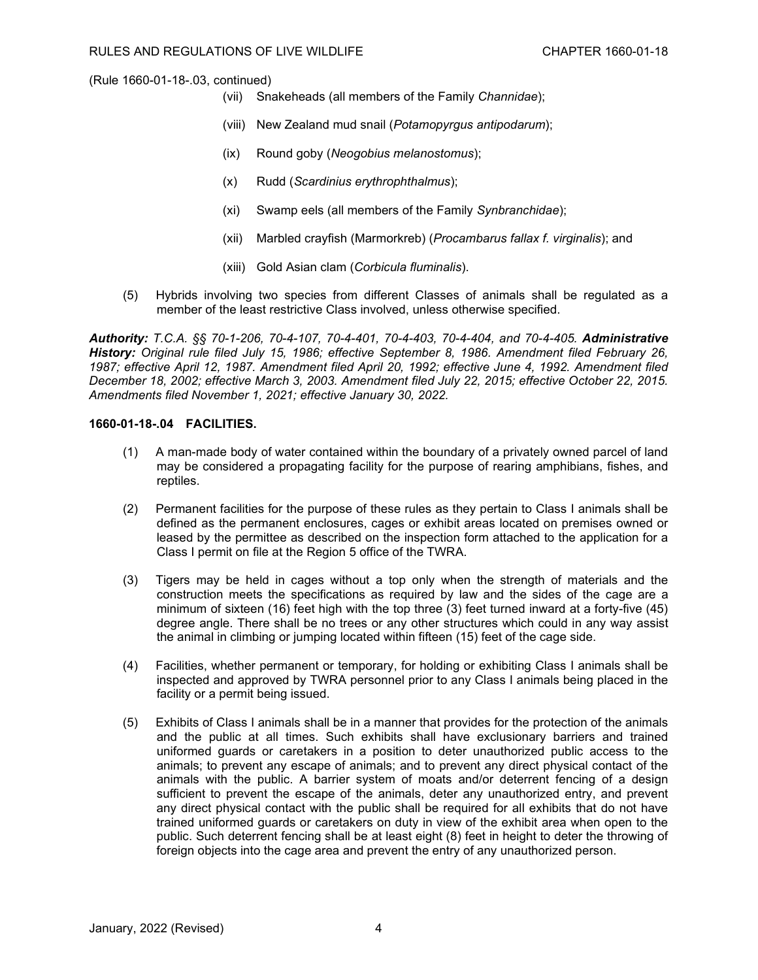- (vii) Snakeheads (all members of the Family *Channidae*);
- (viii) New Zealand mud snail (*Potamopyrgus antipodarum*);
- (ix) Round goby (*Neogobius melanostomus*);
- (x) Rudd (*Scardinius erythrophthalmus*);
- (xi) Swamp eels (all members of the Family *Synbranchidae*);
- (xii) Marbled crayfish (Marmorkreb) (*Procambarus fallax f. virginalis*); and
- (xiii) Gold Asian clam (*Corbicula fluminalis*).
- (5) Hybrids involving two species from different Classes of animals shall be regulated as a member of the least restrictive Class involved, unless otherwise specified.

*Authority: T.C.A. §§ 70-1-206, 70-4-107, 70-4-401, 70-4-403, 70-4-404, and 70-4-405. Administrative History: Original rule filed July 15, 1986; effective September 8, 1986. Amendment filed February 26, 1987; effective April 12, 1987. Amendment filed April 20, 1992; effective June 4, 1992. Amendment filed December 18, 2002; effective March 3, 2003. Amendment filed July 22, 2015; effective October 22, 2015. Amendments filed November 1, 2021; effective January 30, 2022.*

# **1660-01-18-.04 FACILITIES.**

- (1) A man-made body of water contained within the boundary of a privately owned parcel of land may be considered a propagating facility for the purpose of rearing amphibians, fishes, and reptiles.
- (2) Permanent facilities for the purpose of these rules as they pertain to Class I animals shall be defined as the permanent enclosures, cages or exhibit areas located on premises owned or leased by the permittee as described on the inspection form attached to the application for a Class I permit on file at the Region 5 office of the TWRA.
- (3) Tigers may be held in cages without a top only when the strength of materials and the construction meets the specifications as required by law and the sides of the cage are a minimum of sixteen (16) feet high with the top three (3) feet turned inward at a forty-five (45) degree angle. There shall be no trees or any other structures which could in any way assist the animal in climbing or jumping located within fifteen (15) feet of the cage side.
- (4) Facilities, whether permanent or temporary, for holding or exhibiting Class I animals shall be inspected and approved by TWRA personnel prior to any Class I animals being placed in the facility or a permit being issued.
- (5) Exhibits of Class I animals shall be in a manner that provides for the protection of the animals and the public at all times. Such exhibits shall have exclusionary barriers and trained uniformed guards or caretakers in a position to deter unauthorized public access to the animals; to prevent any escape of animals; and to prevent any direct physical contact of the animals with the public. A barrier system of moats and/or deterrent fencing of a design sufficient to prevent the escape of the animals, deter any unauthorized entry, and prevent any direct physical contact with the public shall be required for all exhibits that do not have trained uniformed guards or caretakers on duty in view of the exhibit area when open to the public. Such deterrent fencing shall be at least eight (8) feet in height to deter the throwing of foreign objects into the cage area and prevent the entry of any unauthorized person.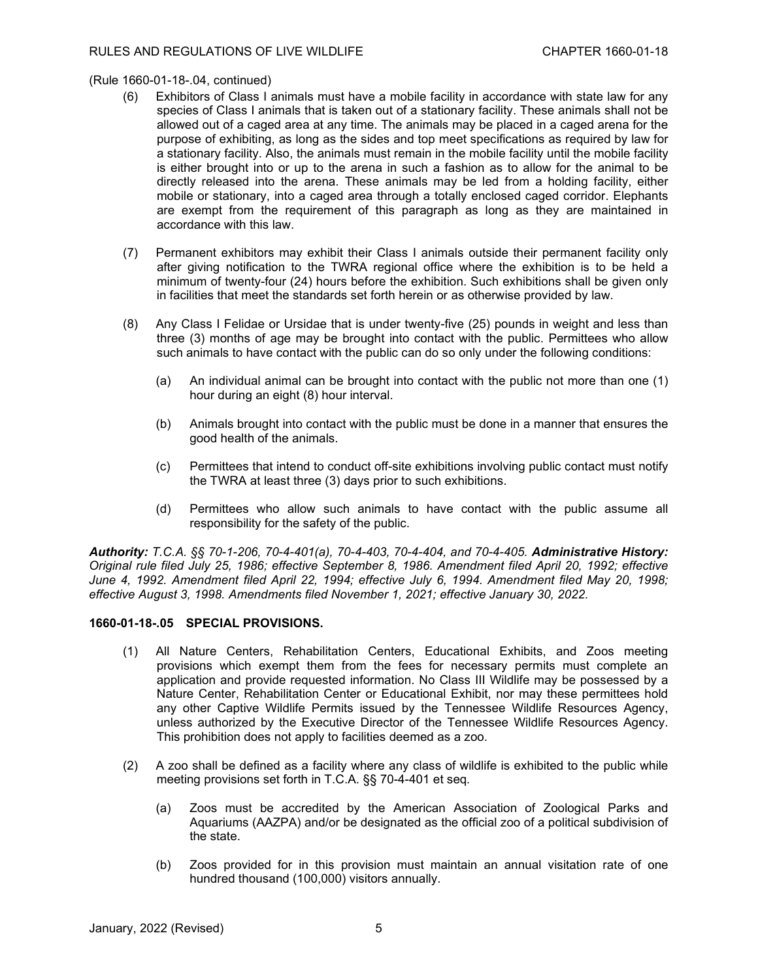- (6) Exhibitors of Class I animals must have a mobile facility in accordance with state law for any species of Class I animals that is taken out of a stationary facility. These animals shall not be allowed out of a caged area at any time. The animals may be placed in a caged arena for the purpose of exhibiting, as long as the sides and top meet specifications as required by law for a stationary facility. Also, the animals must remain in the mobile facility until the mobile facility is either brought into or up to the arena in such a fashion as to allow for the animal to be directly released into the arena. These animals may be led from a holding facility, either mobile or stationary, into a caged area through a totally enclosed caged corridor. Elephants are exempt from the requirement of this paragraph as long as they are maintained in accordance with this law.
- (7) Permanent exhibitors may exhibit their Class I animals outside their permanent facility only after giving notification to the TWRA regional office where the exhibition is to be held a minimum of twenty-four (24) hours before the exhibition. Such exhibitions shall be given only in facilities that meet the standards set forth herein or as otherwise provided by law.
- (8) Any Class I Felidae or Ursidae that is under twenty-five (25) pounds in weight and less than three (3) months of age may be brought into contact with the public. Permittees who allow such animals to have contact with the public can do so only under the following conditions:
	- (a) An individual animal can be brought into contact with the public not more than one (1) hour during an eight (8) hour interval.
	- (b) Animals brought into contact with the public must be done in a manner that ensures the good health of the animals.
	- (c) Permittees that intend to conduct off-site exhibitions involving public contact must notify the TWRA at least three (3) days prior to such exhibitions.
	- (d) Permittees who allow such animals to have contact with the public assume all responsibility for the safety of the public.

*Authority: T.C.A. §§ 70-1-206, 70-4-401(a), 70-4-403, 70-4-404, and 70-4-405. Administrative History: Original rule filed July 25, 1986; effective September 8, 1986. Amendment filed April 20, 1992; effective June 4, 1992. Amendment filed April 22, 1994; effective July 6, 1994. Amendment filed May 20, 1998; effective August 3, 1998. Amendments filed November 1, 2021; effective January 30, 2022.*

# **1660-01-18-.05 SPECIAL PROVISIONS.**

- (1) All Nature Centers, Rehabilitation Centers, Educational Exhibits, and Zoos meeting provisions which exempt them from the fees for necessary permits must complete an application and provide requested information. No Class III Wildlife may be possessed by a Nature Center, Rehabilitation Center or Educational Exhibit, nor may these permittees hold any other Captive Wildlife Permits issued by the Tennessee Wildlife Resources Agency, unless authorized by the Executive Director of the Tennessee Wildlife Resources Agency. This prohibition does not apply to facilities deemed as a zoo.
- (2) A zoo shall be defined as a facility where any class of wildlife is exhibited to the public while meeting provisions set forth in T.C.A. §§ 70-4-401 et seq*.*
	- (a) Zoos must be accredited by the American Association of Zoological Parks and Aquariums (AAZPA) and/or be designated as the official zoo of a political subdivision of the state.
	- (b) Zoos provided for in this provision must maintain an annual visitation rate of one hundred thousand (100,000) visitors annually.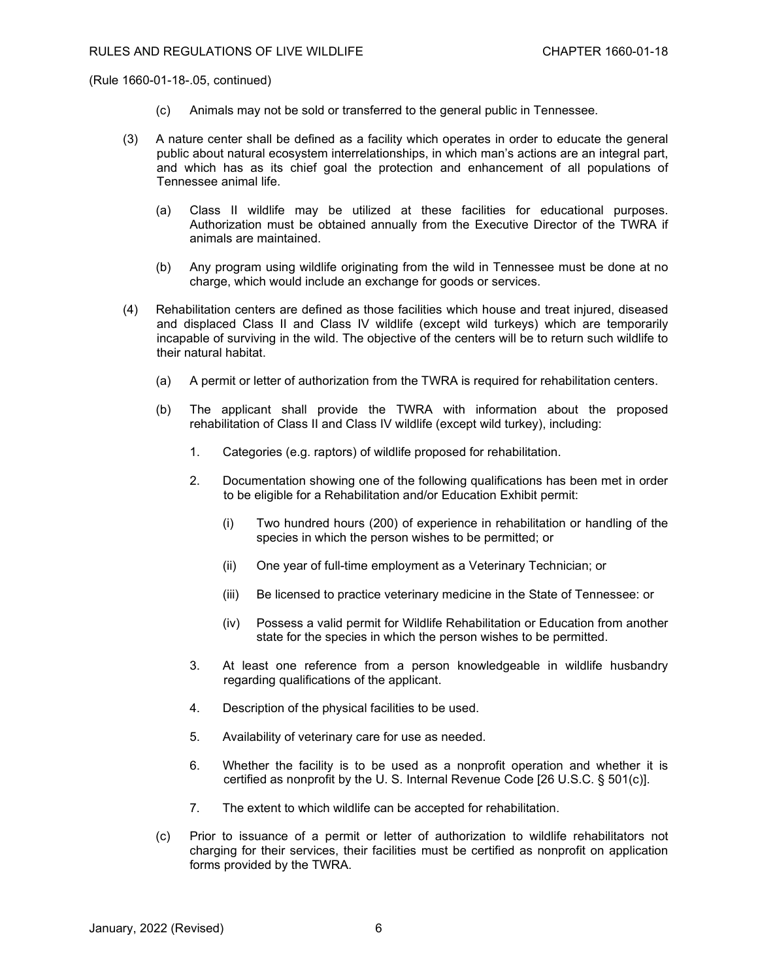- (c) Animals may not be sold or transferred to the general public in Tennessee.
- (3) A nature center shall be defined as a facility which operates in order to educate the general public about natural ecosystem interrelationships, in which man's actions are an integral part, and which has as its chief goal the protection and enhancement of all populations of Tennessee animal life.
	- (a) Class II wildlife may be utilized at these facilities for educational purposes. Authorization must be obtained annually from the Executive Director of the TWRA if animals are maintained.
	- (b) Any program using wildlife originating from the wild in Tennessee must be done at no charge, which would include an exchange for goods or services.
- (4) Rehabilitation centers are defined as those facilities which house and treat injured, diseased and displaced Class II and Class IV wildlife (except wild turkeys) which are temporarily incapable of surviving in the wild. The objective of the centers will be to return such wildlife to their natural habitat.
	- (a) A permit or letter of authorization from the TWRA is required for rehabilitation centers.
	- (b) The applicant shall provide the TWRA with information about the proposed rehabilitation of Class II and Class IV wildlife (except wild turkey), including:
		- 1. Categories (e.g. raptors) of wildlife proposed for rehabilitation.
		- 2. Documentation showing one of the following qualifications has been met in order to be eligible for a Rehabilitation and/or Education Exhibit permit:
			- (i) Two hundred hours (200) of experience in rehabilitation or handling of the species in which the person wishes to be permitted; or
			- (ii) One year of full-time employment as a Veterinary Technician; or
			- (iii) Be licensed to practice veterinary medicine in the State of Tennessee: or
			- (iv) Possess a valid permit for Wildlife Rehabilitation or Education from another state for the species in which the person wishes to be permitted.
		- 3. At least one reference from a person knowledgeable in wildlife husbandry regarding qualifications of the applicant.
		- 4. Description of the physical facilities to be used.
		- 5. Availability of veterinary care for use as needed.
		- 6. Whether the facility is to be used as a nonprofit operation and whether it is certified as nonprofit by the U. S. Internal Revenue Code [26 U.S.C. § 501(c)].
		- 7. The extent to which wildlife can be accepted for rehabilitation.
	- (c) Prior to issuance of a permit or letter of authorization to wildlife rehabilitators not charging for their services, their facilities must be certified as nonprofit on application forms provided by the TWRA.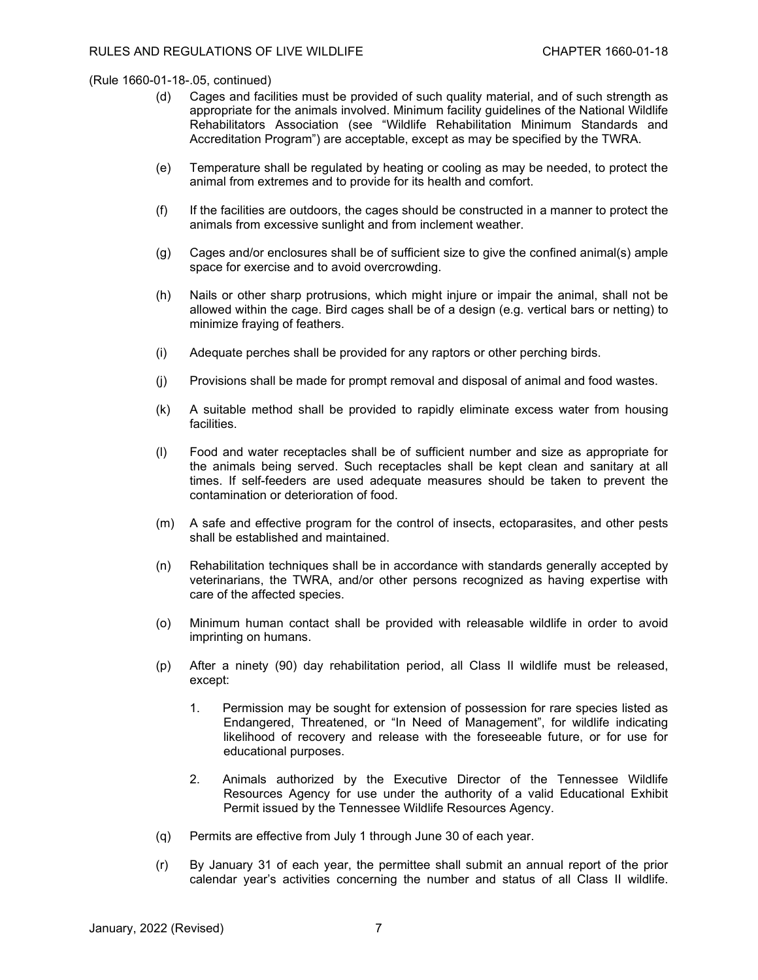- (d) Cages and facilities must be provided of such quality material, and of such strength as appropriate for the animals involved. Minimum facility guidelines of the National Wildlife Rehabilitators Association (see "Wildlife Rehabilitation Minimum Standards and Accreditation Program") are acceptable, except as may be specified by the TWRA.
- (e) Temperature shall be regulated by heating or cooling as may be needed, to protect the animal from extremes and to provide for its health and comfort.
- (f) If the facilities are outdoors, the cages should be constructed in a manner to protect the animals from excessive sunlight and from inclement weather.
- (g) Cages and/or enclosures shall be of sufficient size to give the confined animal(s) ample space for exercise and to avoid overcrowding.
- (h) Nails or other sharp protrusions, which might injure or impair the animal, shall not be allowed within the cage. Bird cages shall be of a design (e.g. vertical bars or netting) to minimize fraying of feathers.
- (i) Adequate perches shall be provided for any raptors or other perching birds.
- (j) Provisions shall be made for prompt removal and disposal of animal and food wastes.
- (k) A suitable method shall be provided to rapidly eliminate excess water from housing facilities.
- (l) Food and water receptacles shall be of sufficient number and size as appropriate for the animals being served. Such receptacles shall be kept clean and sanitary at all times. If self-feeders are used adequate measures should be taken to prevent the contamination or deterioration of food.
- (m) A safe and effective program for the control of insects, ectoparasites, and other pests shall be established and maintained.
- (n) Rehabilitation techniques shall be in accordance with standards generally accepted by veterinarians, the TWRA, and/or other persons recognized as having expertise with care of the affected species.
- (o) Minimum human contact shall be provided with releasable wildlife in order to avoid imprinting on humans.
- (p) After a ninety (90) day rehabilitation period, all Class II wildlife must be released, except:
	- 1. Permission may be sought for extension of possession for rare species listed as Endangered, Threatened, or "In Need of Management", for wildlife indicating likelihood of recovery and release with the foreseeable future, or for use for educational purposes.
	- 2. Animals authorized by the Executive Director of the Tennessee Wildlife Resources Agency for use under the authority of a valid Educational Exhibit Permit issued by the Tennessee Wildlife Resources Agency.
- (q) Permits are effective from July 1 through June 30 of each year.
- (r) By January 31 of each year, the permittee shall submit an annual report of the prior calendar year's activities concerning the number and status of all Class II wildlife.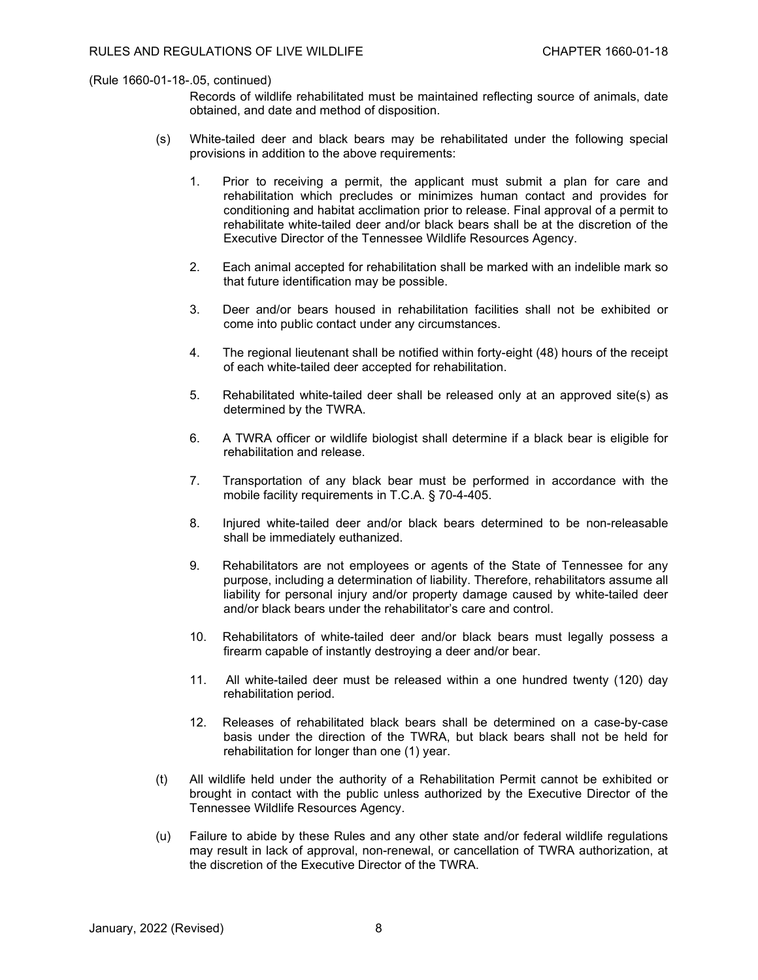Records of wildlife rehabilitated must be maintained reflecting source of animals, date obtained, and date and method of disposition.

- (s) White-tailed deer and black bears may be rehabilitated under the following special provisions in addition to the above requirements:
	- 1. Prior to receiving a permit, the applicant must submit a plan for care and rehabilitation which precludes or minimizes human contact and provides for conditioning and habitat acclimation prior to release. Final approval of a permit to rehabilitate white-tailed deer and/or black bears shall be at the discretion of the Executive Director of the Tennessee Wildlife Resources Agency.
	- 2. Each animal accepted for rehabilitation shall be marked with an indelible mark so that future identification may be possible.
	- 3. Deer and/or bears housed in rehabilitation facilities shall not be exhibited or come into public contact under any circumstances.
	- 4. The regional lieutenant shall be notified within forty-eight (48) hours of the receipt of each white-tailed deer accepted for rehabilitation.
	- 5. Rehabilitated white-tailed deer shall be released only at an approved site(s) as determined by the TWRA.
	- 6. A TWRA officer or wildlife biologist shall determine if a black bear is eligible for rehabilitation and release.
	- 7. Transportation of any black bear must be performed in accordance with the mobile facility requirements in T.C.A. § 70-4-405.
	- 8. Injured white-tailed deer and/or black bears determined to be non-releasable shall be immediately euthanized.
	- 9. Rehabilitators are not employees or agents of the State of Tennessee for any purpose, including a determination of liability. Therefore, rehabilitators assume all liability for personal injury and/or property damage caused by white-tailed deer and/or black bears under the rehabilitator's care and control.
	- 10. Rehabilitators of white-tailed deer and/or black bears must legally possess a firearm capable of instantly destroying a deer and/or bear.
	- 11. All white-tailed deer must be released within a one hundred twenty (120) day rehabilitation period.
	- 12. Releases of rehabilitated black bears shall be determined on a case-by-case basis under the direction of the TWRA, but black bears shall not be held for rehabilitation for longer than one (1) year.
- (t) All wildlife held under the authority of a Rehabilitation Permit cannot be exhibited or brought in contact with the public unless authorized by the Executive Director of the Tennessee Wildlife Resources Agency.
- (u) Failure to abide by these Rules and any other state and/or federal wildlife regulations may result in lack of approval, non-renewal, or cancellation of TWRA authorization, at the discretion of the Executive Director of the TWRA.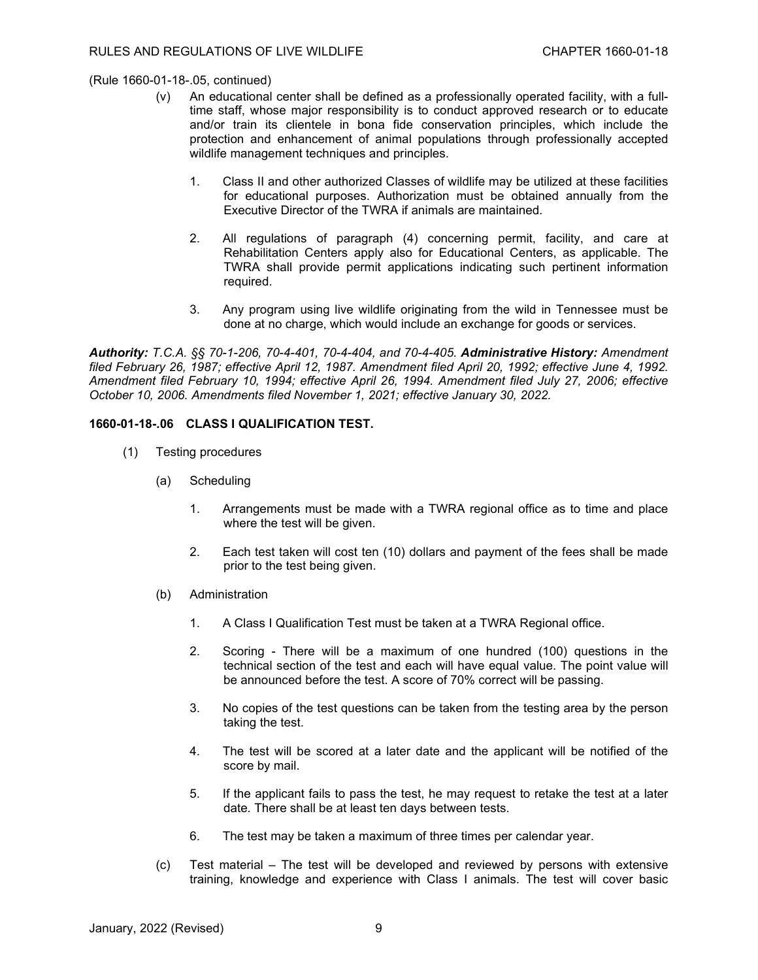- (v) An educational center shall be defined as a professionally operated facility, with a fulltime staff, whose major responsibility is to conduct approved research or to educate and/or train its clientele in bona fide conservation principles, which include the protection and enhancement of animal populations through professionally accepted wildlife management techniques and principles.
	- 1. Class II and other authorized Classes of wildlife may be utilized at these facilities for educational purposes. Authorization must be obtained annually from the Executive Director of the TWRA if animals are maintained.
	- 2. All regulations of paragraph (4) concerning permit, facility, and care at Rehabilitation Centers apply also for Educational Centers, as applicable. The TWRA shall provide permit applications indicating such pertinent information required.
	- 3. Any program using live wildlife originating from the wild in Tennessee must be done at no charge, which would include an exchange for goods or services.

*Authority: T.C.A. §§ 70-1-206, 70-4-401, 70-4-404, and 70-4-405. Administrative History: Amendment filed February 26, 1987; effective April 12, 1987. Amendment filed April 20, 1992; effective June 4, 1992. Amendment filed February 10, 1994; effective April 26, 1994. Amendment filed July 27, 2006; effective October 10, 2006. Amendments filed November 1, 2021; effective January 30, 2022.*

# **1660-01-18-.06 CLASS I QUALIFICATION TEST.**

- (1) Testing procedures
	- (a) Scheduling
		- 1. Arrangements must be made with a TWRA regional office as to time and place where the test will be given.
		- 2. Each test taken will cost ten (10) dollars and payment of the fees shall be made prior to the test being given.
	- (b) Administration
		- 1. A Class I Qualification Test must be taken at a TWRA Regional office.
		- 2. Scoring There will be a maximum of one hundred (100) questions in the technical section of the test and each will have equal value. The point value will be announced before the test. A score of 70% correct will be passing.
		- 3. No copies of the test questions can be taken from the testing area by the person taking the test.
		- 4. The test will be scored at a later date and the applicant will be notified of the score by mail.
		- 5. If the applicant fails to pass the test, he may request to retake the test at a later date. There shall be at least ten days between tests.
		- 6. The test may be taken a maximum of three times per calendar year.
	- (c) Test material The test will be developed and reviewed by persons with extensive training, knowledge and experience with Class I animals. The test will cover basic